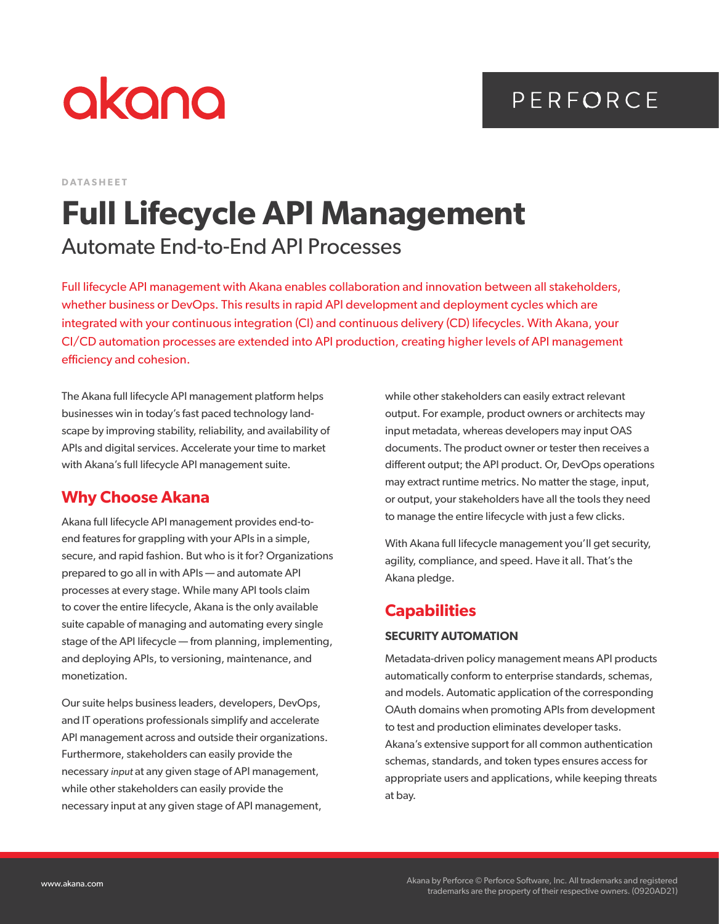# PERFORCE

# akana

**DATASHEET**

# **Full Lifecycle API Management** Automate End-to-End API Processes

Full lifecycle API management with Akana enables collaboration and innovation between all stakeholders, whether business or DevOps. This results in rapid API development and deployment cycles which are integrated with your continuous integration (CI) and continuous delivery (CD) lifecycles. With Akana, your CI/CD automation processes are extended into API production, creating higher levels of API management efficiency and cohesion.

The Akana full lifecycle API management platform helps businesses win in today's fast paced technology landscape by improving stability, reliability, and availability of APIs and digital services. Accelerate your time to market with Akana's full lifecycle API management suite.

### **Why Choose Akana**

Akana full lifecycle API management provides end-toend features for grappling with your APIs in a simple, secure, and rapid fashion. But who is it for? Organizations prepared to go all in with APIs — and automate API processes at every stage. While many API tools claim to cover the entire lifecycle, Akana is the only available suite capable of managing and automating every single stage of the API lifecycle — from planning, implementing, and deploying APIs, to versioning, maintenance, and monetization.

Our suite helps business leaders, developers, DevOps, and IT operations professionals simplify and accelerate API management across and outside their organizations. Furthermore, stakeholders can easily provide the necessary *input* at any given stage of API management, while other stakeholders can easily provide the necessary input at any given stage of API management,

while other stakeholders can easily extract relevant output. For example, product owners or architects may input metadata, whereas developers may input OAS documents. The product owner or tester then receives a different output; the API product. Or, DevOps operations may extract runtime metrics. No matter the stage, input, or output, your stakeholders have all the tools they need to manage the entire lifecycle with just a few clicks.

With Akana full lifecycle management you'll get security, agility, compliance, and speed. Have it all. That's the Akana pledge.

## **Capabilities**

#### **SECURITY AUTOMATION**

Metadata-driven policy management means API products automatically conform to enterprise standards, schemas, and models. Automatic application of the corresponding OAuth domains when promoting APIs from development to test and production eliminates developer tasks. Akana's extensive support for all common authentication schemas, standards, and token types ensures access for appropriate users and applications, while keeping threats at bay.